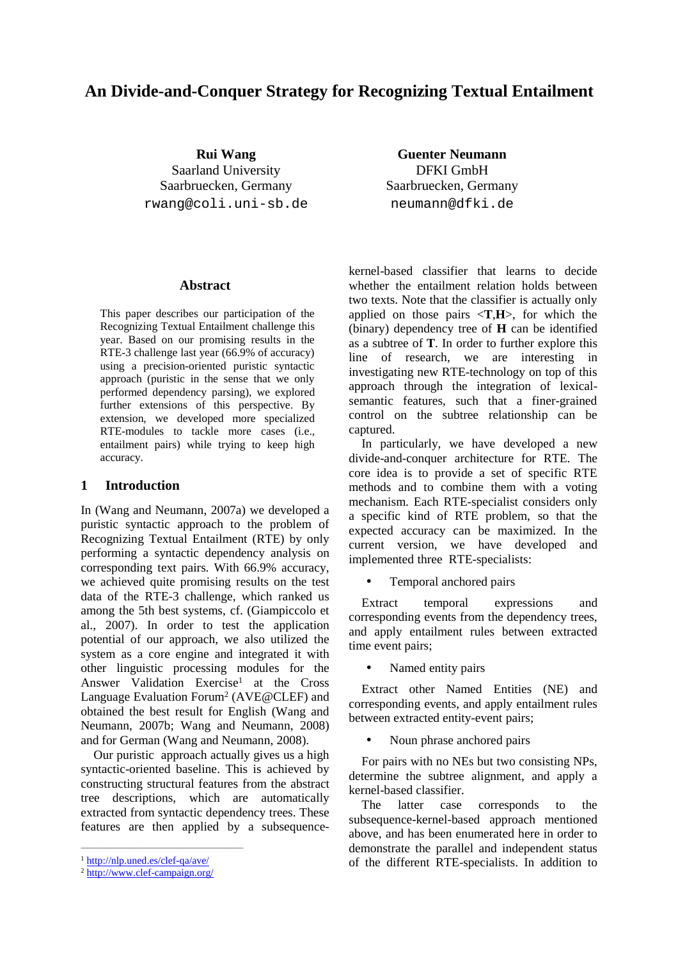# **An Divide-and-Conquer Strategy for Recognizing Textual Entailment**

**Rui Wang** Saarland University Saarbruecken, Germany rwang@coli.uni-sb.de

**Guenter Neumann** DFKI GmbH Saarbruecken, Germany neumann@dfki.de

### **Abstract**

This paper describes our participation of the Recognizing Textual Entailment challenge this year. Based on our promising results in the RTE-3 challenge last year (66.9% of accuracy) using a precision-oriented puristic syntactic approach (puristic in the sense that we only performed dependency parsing), we explored further extensions of this perspective. By extension, we developed more specialized RTE-modules to tackle more cases (i.e., entailment pairs) while trying to keep high accuracy.

### **1 Introduction**

In (Wang and Neumann, 2007a) we developed a puristic syntactic approach to the problem of Recognizing Textual Entailment (RTE) by only performing a syntactic dependency analysis on corresponding text pairs. With 66.9% accuracy, we achieved quite promising results on the test data of the RTE-3 challenge, which ranked us among the 5th best systems, cf. (Giampiccolo et al., 2007). In order to test the application potential of our approach, we also utilized the system as a core engine and integrated it with other linguistic processing modules for the Answer Validation Exercise<sup>1</sup> at the Cross Language Evaluation Forum<sup>2</sup> (AVE@CLEF) and obtained the best result for English (Wang and Neumann, 2007b; Wang and Neumann, 2008) and for German (Wang and Neumann, 2008).

Our puristic approach actually gives us a high syntactic-oriented baseline. This is achieved by constructing structural features from the abstract tree descriptions, which are automatically extracted from syntactic dependency trees. These features are then applied by a subsequencekernel-based classifier that learns to decide whether the entailment relation holds between two texts. Note that the classifier is actually only applied on those pairs <**T**,**H**>, for which the (binary) dependency tree of **H** can be identified as a subtree of **T**. In order to further explore this line of research, we are interesting in investigating new RTE-technology on top of this approach through the integration of lexicalsemantic features, such that a finer-grained control on the subtree relationship can be captured.

In particularly, we have developed a new divide-and-conquer architecture for RTE. The core idea is to provide a set of specific RTE methods and to combine them with a voting mechanism. Each RTE-specialist considers only a specific kind of RTE problem, so that the expected accuracy can be maximized. In the current version, we have developed and implemented three RTE-specialists:

• Temporal anchored pairs

Extract temporal expressions and corresponding events from the dependency trees, and apply entailment rules between extracted time event pairs;

• Named entity pairs

Extract other Named Entities (NE) and corresponding events, and apply entailment rules between extracted entity-event pairs;

• Noun phrase anchored pairs

For pairs with no NEs but two consisting NPs, determine the subtree alignment, and apply a kernel-based classifier.

The latter case corresponds to the subsequence-kernel-based approach mentioned above, and has been enumerated here in order to demonstrate the parallel and independent status of the different RTE-specialists. In addition to

<sup>1</sup> http://nlp.uned.es/clef-qa/ave/

<sup>2</sup> http://www.clef-campaign.org/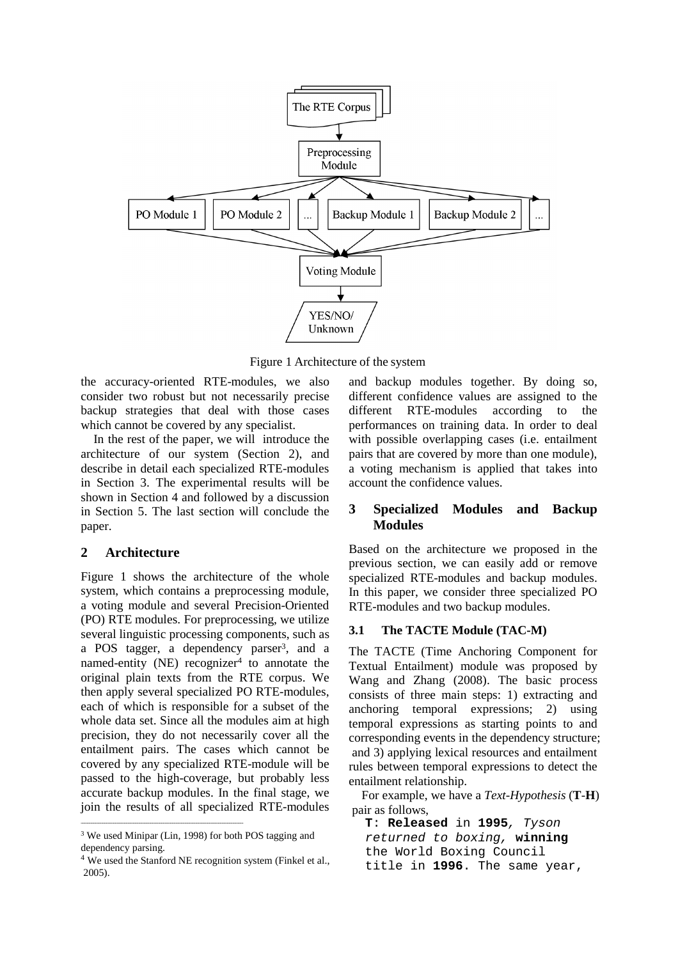

Figure 1 Architecture of the system

the accuracy-oriented RTE-modules, we also consider two robust but not necessarily precise backup strategies that deal with those cases which cannot be covered by any specialist.

In the rest of the paper, we will introduce the architecture of our system (Section 2), and describe in detail each specialized RTE-modules in Section 3. The experimental results will be shown in Section 4 and followed by a discussion in Section 5. The last section will conclude the paper.

## **2 Architecture**

Figure 1 shows the architecture of the whole system, which contains a preprocessing module, a voting module and several Precision-Oriented (PO) RTE modules. For preprocessing, we utilize several linguistic processing components, such as a POS tagger, a dependency parser<sup>3</sup>, and a named-entity (NE) recognizer<sup>4</sup> to annotate the original plain texts from the RTE corpus. We then apply several specialized PO RTE-modules, each of which is responsible for a subset of the whole data set. Since all the modules aim at high precision, they do not necessarily cover all the entailment pairs. The cases which cannot be covered by any specialized RTE-module will be passed to the high-coverage, but probably less accurate backup modules. In the final stage, we join the results of all specialized RTE-modules and backup modules together. By doing so, different confidence values are assigned to the different RTE-modules according to the performances on training data. In order to deal with possible overlapping cases (i.e. entailment pairs that are covered by more than one module), a voting mechanism is applied that takes into account the confidence values.

## **3 Specialized Modules and Backup Modules**

Based on the architecture we proposed in the previous section, we can easily add or remove specialized RTE-modules and backup modules. In this paper, we consider three specialized PO RTE-modules and two backup modules.

## **3.1 The TACTE Module (TAC-M)**

The TACTE (Time Anchoring Component for Textual Entailment) module was proposed by Wang and Zhang (2008). The basic process consists of three main steps: 1) extracting and anchoring temporal expressions; 2) using temporal expressions as starting points to and corresponding events in the dependency structure; and 3) applying lexical resources and entailment rules between temporal expressions to detect the entailment relationship.

For example, we have a *Text-Hypothesis* (**T**-**H**) pair as follows,

**T**: **Released** in **1995**, Tyson returned to boxing, **winning** the World Boxing Council title in **1996**. The same year,

<sup>3</sup> We used Minipar (Lin, 1998) for both POS tagging and dependency parsing.

<sup>&</sup>lt;sup>4</sup> We used the Stanford NE recognition system (Finkel et al., 2005).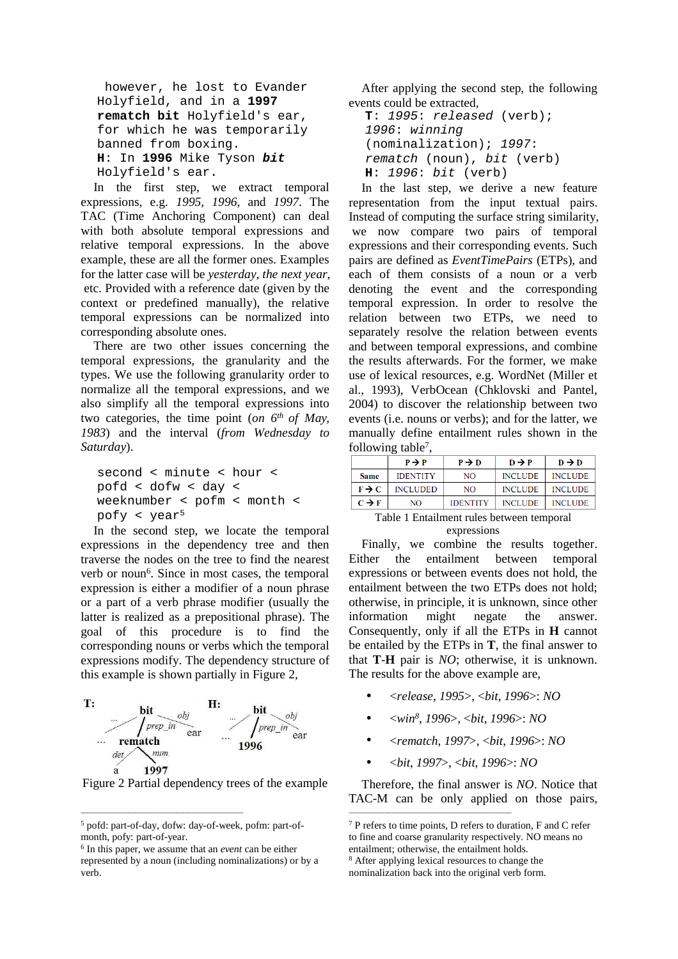```
however, he lost to Evander
Holyfield, and in a 1997
rematch bit Holyfield's ear,
for which he was temporarily
banned from boxing.
H: In 1996 Mike Tyson bit
Holyfield's ear.
```
In the first step, we extract temporal expressions, e.g. *1995*, *1996*, and *1997*. The TAC (Time Anchoring Component) can deal with both absolute temporal expressions and relative temporal expressions. In the above example, these are all the former ones. Examples for the latter case will be *yesterday*, *the next year*, etc. Provided with a reference date (given by the context or predefined manually), the relative temporal expressions can be normalized into corresponding absolute ones.

There are two other issues concerning the temporal expressions, the granularity and the types. We use the following granularity order to normalize all the temporal expressions, and we also simplify all the temporal expressions into two categories, the time point (*on 6th of May, 1983*) and the interval (*from Wednesday to Saturday*).

```
second < minute < hour <
pofd < dofw < day <
weeknumber < pofm < month <
pofy < year5
```
In the second step, we locate the temporal expressions in the dependency tree and then traverse the nodes on the tree to find the nearest verb or noun<sup>6</sup>. Since in most cases, the temporal expression is either a modifier of a noun phrase or a part of a verb phrase modifier (usually the latter is realized as a prepositional phrase). The goal of this procedure is to find the corresponding nouns or verbs which the temporal expressions modify. The dependency structure of this example is shown partially in Figure 2,



Figure 2 Partial dependency trees of the example

After applying the second step, the following events could be extracted,

```
T: 1995: released (verb);
1996: winning
(nominalization); 1997:
rematch (noun), bit (verb)
H: 1996: bit (verb)
```
In the last step, we derive a new feature representation from the input textual pairs. Instead of computing the surface string similarity, we now compare two pairs of temporal expressions and their corresponding events. Such pairs are defined as *EventTimePairs* (ETPs), and each of them consists of a noun or a verb denoting the event and the corresponding temporal expression. In order to resolve the relation between two ETPs, we need to separately resolve the relation between events and between temporal expressions, and combine the results afterwards. For the former, we make use of lexical resources, e.g. WordNet (Miller et al., 1993), VerbOcean (Chklovski and Pantel, 2004) to discover the relationship between two events (i.e. nouns or verbs); and for the latter, we manually define entailment rules shown in the following table<sup>7</sup>,

|                   | $P \rightarrow P$ | $P \rightarrow D$ | $D \rightarrow P$ | $D \rightarrow D$ |  |  |  |
|-------------------|-------------------|-------------------|-------------------|-------------------|--|--|--|
| Same              | <b>IDENTITY</b>   | NO.               | <b>INCLUDE</b>    | <b>INCLUDE</b>    |  |  |  |
| $F \rightarrow C$ | <b>INCLUDED</b>   | NO.               | <b>INCLUDE</b>    | <b>INCLUDE</b>    |  |  |  |
| $C \rightarrow F$ | NO                | <b>IDENTITY</b>   | <b>INCLUDE</b>    | INCLUDE           |  |  |  |

Table 1 Entailment rules between temporal expressions

Finally, we combine the results together. Either the entailment between temporal expressions or between events does not hold, the entailment between the two ETPs does not hold; otherwise, in principle, it is unknown, since other information might negate the answer. Consequently, only if all the ETPs in **H** cannot be entailed by the ETPs in **T**, the final answer to that **T**-**H** pair is *NO*; otherwise, it is unknown. The results for the above example are,

- <*release*, *1995*>, <*bit*, *1996*>: *NO*
- <*win<sup>8</sup>* , *1996*>, <*bit*, *1996*>: *NO*
- <*rematch*, *1997*>, <*bit*, *1996*>: *NO*
- <*bit*, *1997*>, <*bit*, *1996*>: *NO*

Therefore, the final answer is *NO*. Notice that TAC-M can be only applied on those pairs,

<sup>5</sup> pofd: part-of-day, dofw: day-of-week, pofm: part-ofmonth, pofy: part-of-year.

<sup>6</sup> In this paper, we assume that an *event* can be either represented by a noun (including nominalizations) or by a verb.

<sup>7</sup> P refers to time points, D refers to duration, F and C refer to fine and coarse granularity respectively. NO means no entailment; otherwise, the entailment holds.

<sup>8</sup> After applying lexical resources to change the

nominalization back into the original verb form.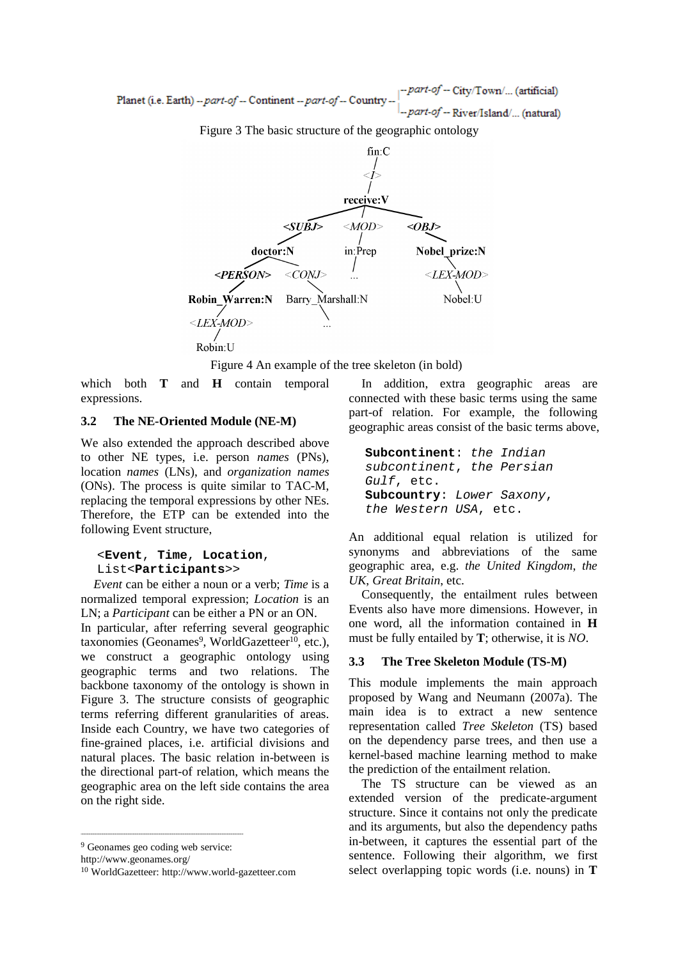part-of -- City/Town/... (artificial) Planet (i.e. Earth) -- part-of -- Continent -- part-of -- Country part-of -- River/Island/... (natural)

Figure 3 The basic structure of the geographic ontology



Figure 4 An example of the tree skeleton (in bold)

which both **T** and **H** contain temporal expressions.

### **3.2 The NE-Oriented Module (NE-M)**

We also extended the approach described above to other NE types, i.e. person *names* (PNs), location *names* (LNs), and *organization names* (ONs). The process is quite similar to TAC-M, replacing the temporal expressions by other NEs. Therefore, the ETP can be extended into the following Event structure,

### <**Event**, **Time**, **Location**, List<**Participants**>>

*Event* can be either a noun or a verb; *Time* is a normalized temporal expression; *Location* is an LN; a *Participant* can be either a PN or an ON.

In particular, after referring several geographic taxonomies (Geonames<sup>9</sup>, WorldGazetteer<sup>10</sup>, etc.), we construct a geographic ontology using geographic terms and two relations. The backbone taxonomy of the ontology is shown in Figure 3. The structure consists of geographic terms referring different granularities of areas. Inside each Country, we have two categories of fine-grained places, i.e. artificial divisions and natural places. The basic relation in-between is the directional part-of relation, which means the geographic area on the left side contains the area on the right side.

http://www.geonames.org/

In addition, extra geographic areas are connected with these basic terms using the same part-of relation. For example, the following geographic areas consist of the basic terms above,

```
Subcontinent: the Indian
subcontinent, the Persian
Gulf, etc.
Subcountry: Lower Saxony,
the Western USA, etc.
```
An additional equal relation is utilized for synonyms and abbreviations of the same geographic area, e.g. *the United Kingdom*, *the UK*, *Great Britain*, etc.

Consequently, the entailment rules between Events also have more dimensions. However, in one word, all the information contained in **H** must be fully entailed by **T**; otherwise, it is *NO*.

#### **3.3 The Tree Skeleton Module (TS-M)**

This module implements the main approach proposed by Wang and Neumann (2007a). The main idea is to extract a new sentence representation called *Tree Skeleton* (TS) based on the dependency parse trees, and then use a kernel-based machine learning method to make the prediction of the entailment relation.

The TS structure can be viewed as an extended version of the predicate-argument structure. Since it contains not only the predicate and its arguments, but also the dependency paths in-between, it captures the essential part of the sentence. Following their algorithm, we first select overlapping topic words (i.e. nouns) in **T**

<sup>9</sup> Geonames geo coding web service:

<sup>10</sup> WorldGazetteer: http://www.world-gazetteer.com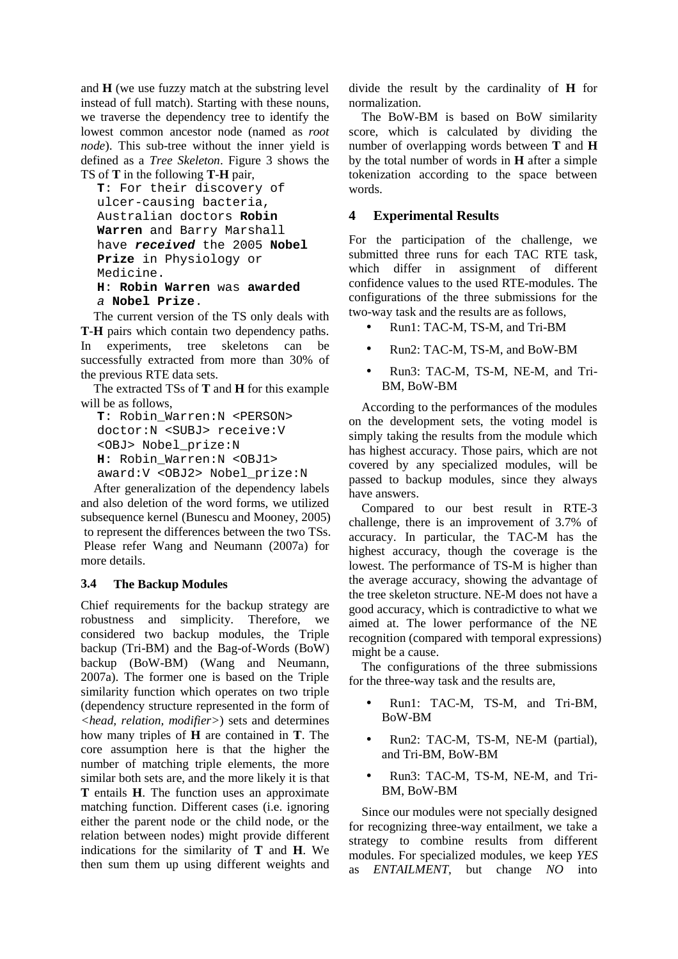and **H** (we use fuzzy match at the substring level instead of full match). Starting with these nouns, we traverse the dependency tree to identify the lowest common ancestor node (named as *root node*). This sub-tree without the inner yield is defined as a *Tree Skeleton*. Figure 3 shows the TS of **T** in the following **T**-**H** pair,

```
T: For their discovery of
ulcer-causing bacteria,
Australian doctors Robin
Warren and Barry Marshall
have received the 2005 Nobel
Prize in Physiology or
Medicine.
H: Robin Warren was awarded
a Nobel Prize.
```
The current version of the TS only deals with **T**-**H** pairs which contain two dependency paths. In experiments, tree skeletons can be successfully extracted from more than 30% of the previous RTE data sets.

The extracted TSs of **T** and **H** for this example will be as follows,

```
T: Robin_Warren:N <PERSON>
doctor:N <SUBJ> receive:V
<OBJ> Nobel_prize:N
H: Robin_Warren:N <OBJ1>
award:V <OBJ2> Nobel_prize:N
```
After generalization of the dependency labels and also deletion of the word forms, we utilized subsequence kernel (Bunescu and Mooney, 2005) to represent the differences between the two TSs. Please refer Wang and Neumann (2007a) for more details.

## **3.4 The Backup Modules**

Chief requirements for the backup strategy are robustness and simplicity. Therefore, we considered two backup modules, the Triple backup (Tri-BM) and the Bag-of-Words (BoW) backup (BoW-BM) (Wang and Neumann, 2007a). The former one is based on the Triple similarity function which operates on two triple (dependency structure represented in the form of *<head, relation, modifier>*) sets and determines how many triples of **H** are contained in **T**. The core assumption here is that the higher the number of matching triple elements, the more similar both sets are, and the more likely it is that **T** entails **H**. The function uses an approximate matching function. Different cases (i.e. ignoring either the parent node or the child node, or the relation between nodes) might provide different indications for the similarity of **T** and **H**. We then sum them up using different weights and

divide the result by the cardinality of **H** for normalization.

The BoW-BM is based on BoW similarity score, which is calculated by dividing the number of overlapping words between **T** and **H** by the total number of words in **H** after a simple tokenization according to the space between words.

## **4 Experimental Results**

For the participation of the challenge, we submitted three runs for each TAC RTE task, which differ in assignment of different confidence values to the used RTE-modules. The configurations of the three submissions for the two-way task and the results are as follows,

- Run1: TAC-M, TS-M, and Tri-BM
- Run2: TAC-M, TS-M, and BoW-BM
- Run3: TAC-M, TS-M, NE-M, and Tri-BM, BoW-BM

According to the performances of the modules on the development sets, the voting model is simply taking the results from the module which has highest accuracy. Those pairs, which are not covered by any specialized modules, will be passed to backup modules, since they always have answers.

Compared to our best result in RTE-3 challenge, there is an improvement of 3.7% of accuracy. In particular, the TAC-M has the highest accuracy, though the coverage is the lowest. The performance of TS-M is higher than the average accuracy, showing the advantage of the tree skeleton structure. NE-M does not have a good accuracy, which is contradictive to what we aimed at. The lower performance of the NE recognition (compared with temporal expressions) might be a cause.

The configurations of the three submissions for the three-way task and the results are,

- Run1: TAC-M, TS-M, and Tri-BM, BoW-BM
- Run2: TAC-M, TS-M, NE-M (partial), and Tri-BM, BoW-BM
- Run3: TAC-M, TS-M, NE-M, and Tri-BM, BoW-BM

Since our modules were not specially designed for recognizing three-way entailment, we take a strategy to combine results from different modules. For specialized modules, we keep *YES* as *ENTAILMENT*, but change *NO* into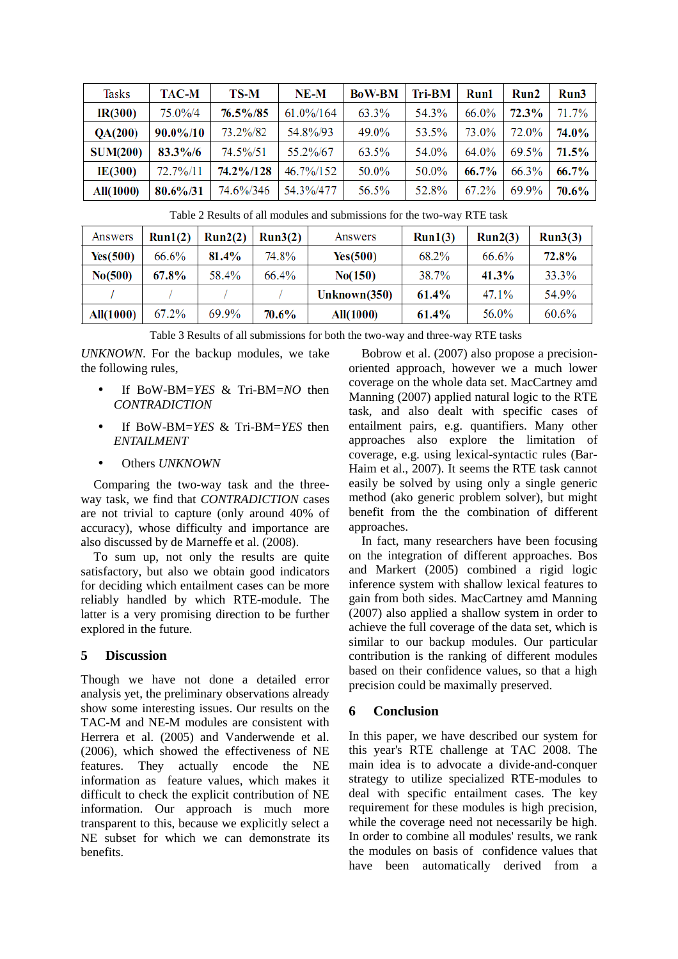| <b>Tasks</b>     | <b>TAC-M</b> | TS-M      | $NE-M$       | <b>BoW-BM</b> | Tri-BM | Run1  | Run2     | Run3     |
|------------------|--------------|-----------|--------------|---------------|--------|-------|----------|----------|
| IR(300)          | 75.0%/4      | 76.5%/85  | $61.0\%/164$ | 63.3%         | 54.3%  | 66.0% | $72.3\%$ | 71.7%    |
| QA(200)          | 90.0%/10     | 73.2%/82  | 54.8%/93     | 49.0%         | 53.5%  | 73.0% | 72.0%    | 74.0%    |
| <b>SUM(200)</b>  | 83.3%/6      | 74.5%/51  | 55.2%/67     | 63.5%         | 54.0%  | 64.0% | 69.5%    | $71.5\%$ |
| IE(300)          | 72.7%/11     | 74.2%/128 | 46.7%/152    | 50.0%         | 50.0%  | 66.7% | 66.3%    | 66.7%    |
| <b>All(1000)</b> | $80.6\%/31$  | 74.6%/346 | 54.3%/477    | 56.5%         | 52.8%  | 67.2% | 69.9%    | $70.6\%$ |

Table 2 Results of all modules and submissions for the two-way RTE task

| Answers   | Run1(2)  | Run2(2)  | Run3(2)  | Answers          | Run1(3)      | Run2(3)  | Run3(3) |
|-----------|----------|----------|----------|------------------|--------------|----------|---------|
| Yes(500)  | 66.6%    | $81.4\%$ | 74.8%    | <b>Yes</b> (500) | 68.2%        | 66.6%    | 72.8%   |
| No(500)   | $67.8\%$ | 58.4%    | 66.4%    | No(150)          | <b>38.7%</b> | $41.3\%$ | 33.3%   |
|           |          |          |          | Unknown $(350)$  | $61.4\%$     | 47.1%    | 54.9%   |
| All(1000) | $67.2\%$ | 69.9%    | $70.6\%$ | All(1000)        | $61.4\%$     | 56.0%    | 60.6%   |

Table 3 Results of all submissions for both the two-way and three-way RTE tasks

*UNKNOWN*. For the backup modules, we take the following rules,

- If BoW-BM=*YES* & Tri-BM=*NO* then *CONTRADICTION*
- If BoW-BM=*YES* & Tri-BM=*YES* then *ENTAILMENT*
- Others *UNKNOWN*

Comparing the two-way task and the threeway task, we find that *CONTRADICTION* cases are not trivial to capture (only around 40% of accuracy), whose difficulty and importance are also discussed by de Marneffe et al. (2008).

To sum up, not only the results are quite satisfactory, but also we obtain good indicators for deciding which entailment cases can be more reliably handled by which RTE-module. The latter is a very promising direction to be further explored in the future.

### **5 Discussion**

Though we have not done a detailed error analysis yet, the preliminary observations already show some interesting issues. Our results on the TAC-M and NE-M modules are consistent with Herrera et al. (2005) and Vanderwende et al. (2006), which showed the effectiveness of NE features. They actually encode the NE information as feature values, which makes it difficult to check the explicit contribution of NE information. Our approach is much more transparent to this, because we explicitly select a NE subset for which we can demonstrate its benefits.

Bobrow et al. (2007) also propose a precisionoriented approach, however we a much lower coverage on the whole data set. MacCartney amd Manning (2007) applied natural logic to the RTE task, and also dealt with specific cases of entailment pairs, e.g. quantifiers. Many other approaches also explore the limitation of coverage, e.g. using lexical-syntactic rules (Bar-Haim et al., 2007). It seems the RTE task cannot easily be solved by using only a single generic method (ako generic problem solver), but might benefit from the the combination of different approaches.

In fact, many researchers have been focusing on the integration of different approaches. Bos and Markert (2005) combined a rigid logic inference system with shallow lexical features to gain from both sides. MacCartney amd Manning (2007) also applied a shallow system in order to achieve the full coverage of the data set, which is similar to our backup modules. Our particular contribution is the ranking of different modules based on their confidence values, so that a high precision could be maximally preserved.

### **6 Conclusion**

In this paper, we have described our system for this year's RTE challenge at TAC 2008. The main idea is to advocate a divide-and-conquer strategy to utilize specialized RTE-modules to deal with specific entailment cases. The key requirement for these modules is high precision, while the coverage need not necessarily be high. In order to combine all modules' results, we rank the modules on basis of confidence values that have been automatically derived from a